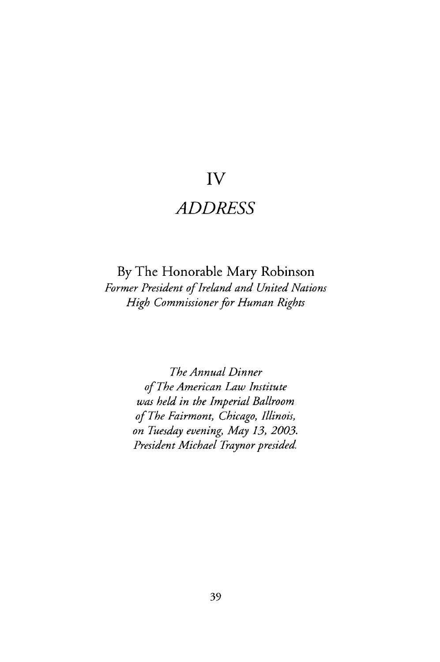## **IV**

## *ADDRESS*

**By** The Honorable Mary Robinson *Former President of Ireland and United Nations High Commissioner for Human Rights*

> *The Annual Dinner of The American Law Institute was held in the Imperial Ballroom of The Fairmont, Chicago, Illinois, on Tuesday evening, May 13, 2003. President Michael Traynor presided*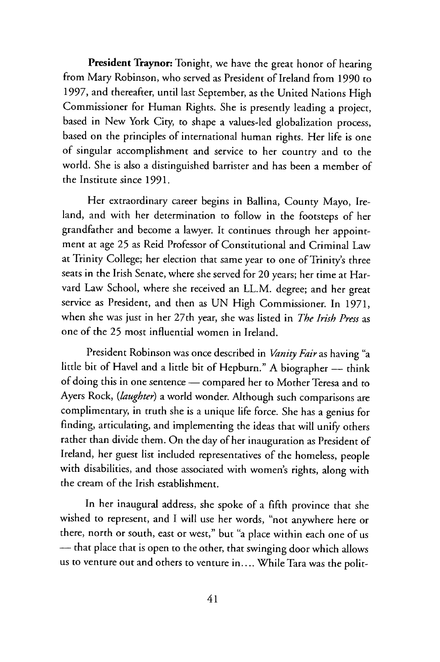**President Traynor:** Tonight, we have the great honor of hearing from Mary Robinson, who served as President of Ireland from 1990 to 1997, and thereafter, until last September, as the United Nations High Commissioner for Human Rights. She is presently leading a project, based in New York City, to shape a values-led globalization process, based on the principles of international human rights. Her life is one of singular accomplishment and service to her country and to the world. She is also a distinguished barrister and has been a member of the Institute since 1991.

Her extraordinary career begins in Ballina, County Mayo, Ireland, and with her determination to follow in the footsteps of her grandfather and become a lawyer. It continues through her appointment at age **25** as Reid Professor of Constitutional and Criminal Law at Trinity College; her election that same year to one of Trinity's three seats in the Irish Senate, where she served for 20 years; her time at Harvard Law School, where she received an LL.M. degree; and her great service as President, and then as **UN** High Commissioner. In 1971, when she was just in her 27th year, she was listed in *The Irish Press* as one of the **25** most influential women in Ireland.

President Robinson was once described in *Vanity Fair* as having "a little bit of Havel and a little bit of Hepburn." A biographer — think of doing this in one sentence - compared her to Mother Teresa and to Ayers Rock, *(laughter)* a world wonder. Although such comparisons are complimentary, in truth she is a unique life force. She has a genius for finding, articulating, and implementing the ideas that will unify others rather than divide them. On the day of her inauguration as President of Ireland, her guest list included representatives of the homeless, people with disabilities, and those associated with women's rights, along with the cream of the Irish establishment.

In her inaugural address, she spoke of a **fifth** province that she wished to represent, and I will use her words, "not anywhere here or there, north or south, east or west," but "a place within each one of us **-** that place that is open to the other, that swinging door which allows us to venture out and others to venture in.... While Tara was the polit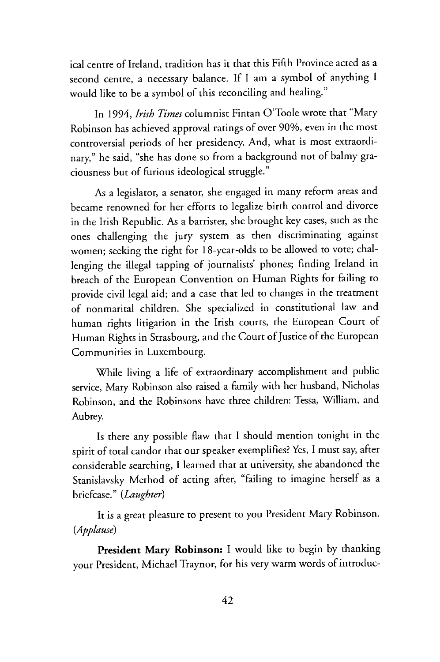ical centre of Ireland, tradition has it that this Fifth Province acted as a second centre, a necessary balance. If I am a symbol of anything I would like to be a symbol of this reconciling and healing."

In 1994, *Irish Times* columnist Fintan O'Toole wrote that "Mary Robinson has achieved approval ratings of over 90%, even in the most controversial periods of her presidency. And, what is most extraordinary," he said, "she has done so from a background not of balmy graciousness but of furious ideological struggle."

As a legislator, a senator, she engaged in many reform areas and became renowned for her efforts to legalize birth control and divorce in the Irish Republic. As a barrister, she brought key cases, such as the ones challenging the jury system as then discriminating against women; seeking the right for 18-year-olds to be allowed to vote; challenging the illegal tapping of journalists' phones; finding Ireland in breach of the European Convention on Human Rights for failing to provide civil legal aid; and a case that led to changes in the treatment of nonmarital children. She specialized in constitutional law and human rights litigation in the Irish courts, the European Court of Human Rights in Strasbourg, and the Court of Justice of the European Communities in Luxembourg.

While living a life of extraordinary accomplishment and public service, Mary Robinson also raised a family with her husband, Nicholas Robinson, and the Robinsons have three children: Tessa, William, and Aubrey.

Is there any possible flaw that I should mention tonight in the spirit of total candor that our speaker exemplifies? Yes, I must say, after considerable searching, I learned that at university, she abandoned the Stanislavsky Method of acting after, "failing to imagine herself as a briefcase." *(Laughter)*

It is a great pleasure to present to you President Mary Robinson. *(Applause)*

President **Mary Robinson:** I would like to begin by thanking your President, Michael Traynor, for his very warm words of introduc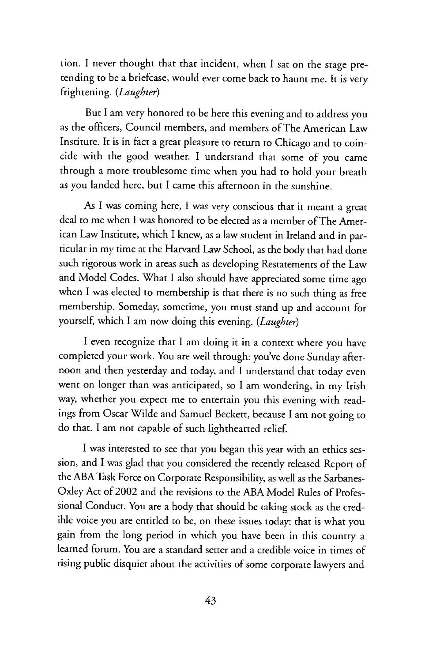tion. I never thought that that incident, when I sat on the stage pretending to be a briefcase, would ever come back to haunt me. It is very frightening. *(Laughter)*

But I am very honored to be here this evening and to address you as the officers, Council members, and members of The American Law Institute. It is in fact a great pleasure to return to Chicago and to coincide with the good weather. I understand that some of you came through a more troublesome time when you had to hold your breath as you landed here, but I came this afternoon in the sunshine.

As I was coming here, I was very conscious that it meant a great deal to me when I was honored to be elected as a member of The American Law Institute, which I knew, as a law student in Ireland and in particular in my time at the Harvard Law School, as the body that had done such rigorous work in areas such as developing Restatements of the Law and Model Codes. What I also should have appreciated some time ago when I was elected to membership is that there is no such thing as free membership. Someday, sometime, you must stand up and account for yourself, which I am now doing this evening. *(Laughter)*

I even recognize that I am doing it in a context where you have completed your work. You are well through: you've done Sunday afternoon and then yesterday and today, and I understand that today even went on longer than was anticipated, so I am wondering, in my Irish way, whether you expect me to entertain you this evening with readings from Oscar Wilde and Samuel Beckett, because I am not going to do that. I am not capable of such lighthearted relief.

I was interested to see that you began this year with an ethics session, and I was glad that you considered the recently released Report of the ABA Task Force on Corporate Responsibility, as well as the Sarbanes-Oxley Act of 2002 and the revisions to the ABA Model Rules of Professional Conduct. You are a body that should be taking stock as the credible voice you are entitled to be, on these issues today: that is what you gain from the long period in which you have been in this country a learned forum. You are a standard setter and a credible voice in times of rising public disquiet about the activities of some corporate lawyers and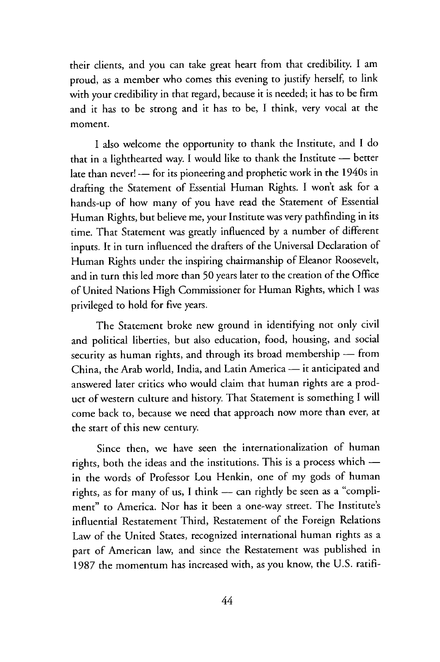their clients, and you can take great heart from that credibility. **I** am proud, as a member who comes this evening to justify herself, to link with your credibility in that regard, because it is needed; it has to be firm and it has to be strong and it has to be, I think, very vocal at the moment.

I also welcome the opportunity to thank the Institute, and I do that in a lighthearted way. I would like to thank the Institute - better late than never! - for its pioneering and prophetic work in the 1940s in drafting the Statement of Essential Human Rights. I won't ask for a hands-up of how many of you have read the Statement of Essential Human Rights, but believe me, your Institute was very pathfinding in its time. That Statement was greatly influenced by a number of different inputs. It in turn influenced the drafters of the Universal Declaration of Human Rights under the inspiring chairmanship of Eleanor Roosevelt, and in turn this led more than 50 years later to the creation of the Office of United Nations High Commissioner for Human Rights, which I was privileged to hold for five years.

The Statement broke new ground in identifying not only civil and political liberties, but also education, food, housing, and social security as human rights, and through its broad membership - from China, the Arab world, India, and Latin America — it anticipated and answered later critics who would claim that human rights are a product of western culture and history. That Statement is something I will come back to, because we need that approach now more than ever, at the start of this new century.

Since then, we have seen the internationalization of human rights, both the ideas and the institutions. This is a process which in the words of Professor Lou Henkin, one of my gods of human rights, as for many of us, I think  $-$  can rightly be seen as a "compliment" to America. Nor has it been a one-way street. The Institute's influential Restatement Third, Restatement of the Foreign Relations Law of the United States, recognized international human rights as a part of American law, and since the Restatement was published in 1987 the momentum has increased with, as you know, the U.S. ratifi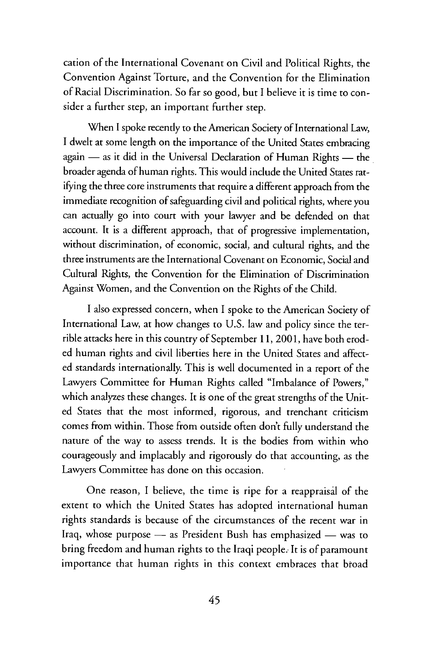cation of the International Covenant on Civil and Political Rights, the Convention Against Torture, and the Convention for the Elimination of Racial Discrimination. So far so good, but I believe it is time to consider a further step, an important further step.

When I spoke recently to the American Society of International Law, I dwelt at some length on the importance of the United States embracing again - as it did in the Universal Declaration of Human Rights - the broader agenda of human rights. This would include the United States ratifying the three core instruments that require a different approach from the immediate recognition of safeguarding civil and political rights, where you can actually go into court with your lawyer and be defended on that account. It is a different approach, that of progressive implementation, without discrimination, of economic, social, and cultural rights, and the three instruments are the International Covenant on Economic, Social and Cultural Rights, the Convention for the Elimination of Discrimination Against Women, and the Convention on the Rights of the Child.

I also expressed concern, when I spoke to the American Society of International Law, at how changes to U.S. law and policy since the terrible attacks here in this country of September 11, 2001, have both eroded human rights and civil liberties here in the United States and affected standards internationally. This is well documented in a report of the Lawyers Committee for Human Rights called "Imbalance of Powers," which analyzes these changes. It is one of the great strengths of the United States that the most informed, rigorous, and trenchant criticism comes from within. Those from outside often don't fully understand the nature of the way to assess trends. It is the bodies from within who courageously and implacably and rigorously do that accounting, as the Lawyers Committee has done on this occasion.

One reason, I believe, the time is ripe for a reappraisal of the extent to which the United States has adopted international human rights standards is because of the circumstances of the recent war in Iraq, whose purpose - as President Bush has emphasized - was to bring freedom and human rights to the Iraqi people.. It is of paramount importance that human rights in this context embraces that broad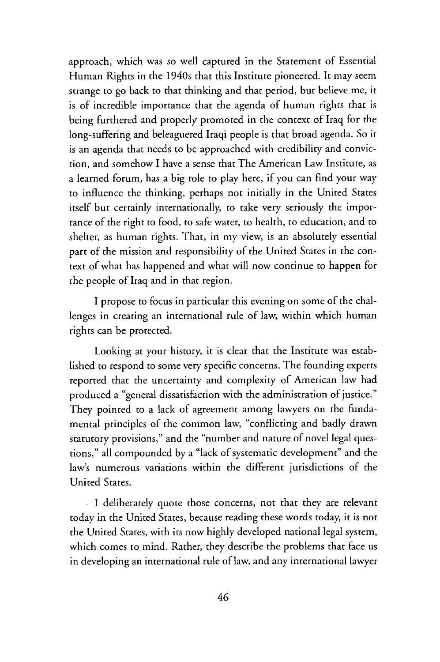approach, which was so well captured in the Statement of Essential Human Rights in the 1940s that this Institute pioneered. It may seem strange to go back to that thinking and that period, but believe me, it is of incredible importance that the agenda of human rights that is being furthered and properly promoted in the context of Iraq for the long-suffering and beleaguered Iraqi people is that broad agenda. So it is an agenda that needs to be approached with credibility and conviction, and somehow I have a sense that The American Law Institute, as a learned forum, has a big role to play here, if you can find your way to influence the thinking, perhaps not initially in the United States itself but certainly internationally, to take very seriously the importance of the right to food, to safe water, to health, to education, and to shelter, as human rights. That, in my view, is an absolutely essential part of the mission and responsibility of the United States in the context of what has happened and what will now continue to happen for the people of Iraq and in that region.

I propose to focus in particular this evening on some of the challenges in creating an international rule of law, within which human rights can be protected.

Looking at your history, it is clear that the Institute was established to respond to some very specific concerns. The founding experts reported that the uncertainty and complexity of American law had produced a "general dissatisfaction with the administration of justice." They pointed to a lack of agreement among lawyers on the fundamental principles of the common law, "conflicting and badly drawn statutory provisions," and the "number and nature of novel legal questions," all compounded by a "lack of systematic development" and the law's numerous variations within the different jurisdictions of the United States.

I deliberately quote those concerns, not that they are relevant today in the United States, because reading these words today, it is not the United States, with its now highly developed national legal system, which comes to mind. Rather, they describe the problems that face us in developing an international rule of law, and any international lawyer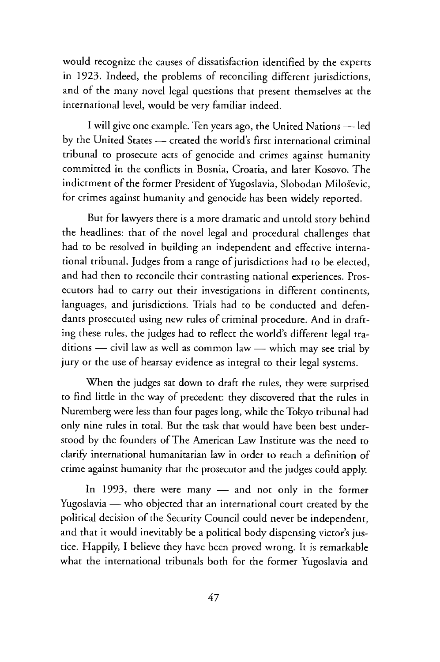would recognize the causes of dissatisfaction identified by the experts in **1923.** Indeed, the problems of reconciling different jurisdictions, and of the many novel legal questions that present themselves at the international level, would be very familiar indeed.

**I** will give one example. Ten years ago, the United Nations - **led** by the United States — created the world's first international criminal tribunal to prosecute acts of genocide and crimes against humanity committed in the conflicts in Bosnia, Croatia, and later Kosovo. The indictment of the former President of Yugoslavia, Slobodan Miloševic, for crimes against humanity and genocide has been widely reported.

But for lawyers there is a more dramatic and untold story behind the headlines: that of the novel legal and procedural challenges that had to be resolved in building an independent and effective international tribunal. Judges from a range of jurisdictions had to be elected, and had then to reconcile their contrasting national experiences. Prosecutors had to carry out their investigations in different continents, languages, and jurisdictions. Trials had to be conducted and defendants prosecuted using new rules of criminal procedure. And in drafting these rules, the judges had to reflect the world's different legal traditions — civil law as well as common law — which may see trial by jury or the use of hearsay evidence as integral to their legal systems.

When the judges sat down to draft the rules, they were surprised to find little in the way of precedent: they discovered that the rules in Nuremberg were less than four pages long, while the Tokyo tribunal had only nine rules in total. But the task that would have been best understood by the founders of The American Law Institute was the need to clarify international humanitarian law in order to reach a definition of crime against humanity that the prosecutor and the judges could apply.

In 1993, there were many  $-$  and not only in the former Yugoslavia - who objected that an international court created by the political decision of the Security Council could never be independent, and that it would inevitably be a political body dispensing victor's justice. Happily, **I** believe they have been proved wrong. It is remarkable what the international tribunals both for the former Yugoslavia and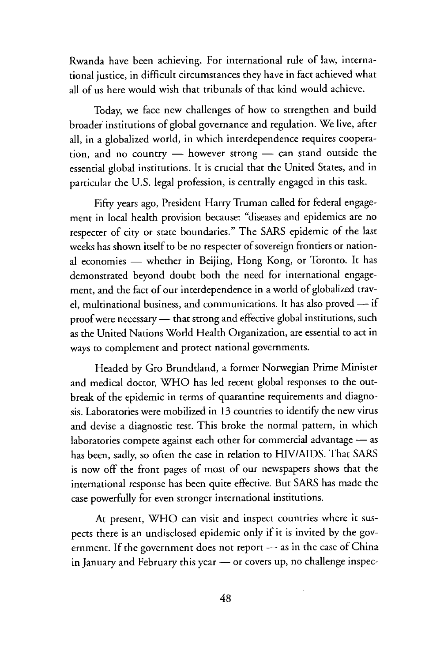Rwanda have been achieving. For international rule of law, international justice, in difficult circumstances they have in fact achieved what all of us here would wish that tribunals of that kind would achieve.

Today, we face new challenges of how to strengthen and build broader institutions of global governance and regulation. We live, after all, in a globalized world, in which interdependence requires cooperation, and no country  $-$  however strong  $-$  can stand outside the essential global institutions. It is crucial that the United States, and in particular the U.S. legal profession, is centrally engaged in this task.

Fifty years ago, President Harry Truman called for federal engagement in local health provision because: "diseases and epidemics are no respecter of city or state boundaries." The SARS epidemic of the last weeks has shown itself to be no respecter of sovereign frontiers or national economies - whether in Beijing, Hong Kong, or Toronto. It has demonstrated beyond doubt both the need for international engagement, and the fact of our interdependence in a world of globalized travel, multinational business, and communications. It has also proved -- if proof were necessary - that strong and effective global institutions, such as the United Nations World Health Organization, are essential to act in ways to complement and protect national governments.

Headed by Gro Brundtland, a former Norwegian Prime Minister and medical doctor, WHO has led recent global responses to the outbreak of the epidemic in terms of quarantine requirements and diagnosis. Laboratories were mobilized in 13 countries to identify the new virus and devise a diagnostic test. This broke the normal pattern, in which laboratories compete against each other for commercial advantage - as has been, sadly, so often the case in relation to HIV/AIDS. That SARS is now off the front pages of most of our newspapers shows that the international response has been quite effective. But SARS has made the case powerfully for even stronger international institutions.

At present, WHO can visit and inspect countries where it suspects there is an undisclosed epidemic only if it is invited by the government. If the government does not report - as in the case of China in January and February this year - or covers up, no challenge inspec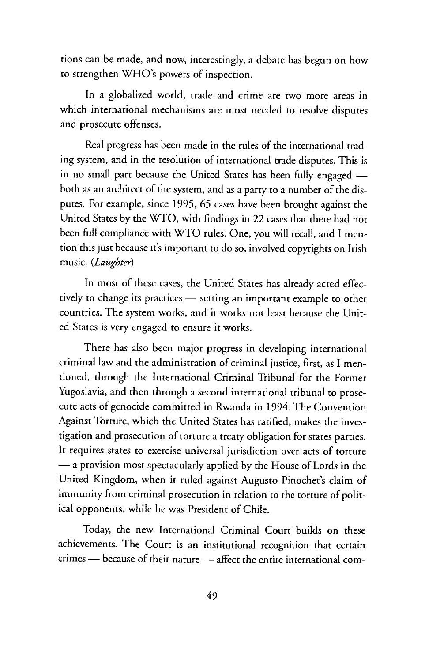tions can be made, and now, interestingly, a debate has begun on how to strengthen WHO's powers of inspection.

In a globalized world, trade and crime are two more areas in which international mechanisms are most needed to resolve disputes and prosecute offenses.

Real progress has been made in the rules of the international trading system, and in the resolution of international trade disputes. This is in no small part because the United States has been fully engaged both as an architect of the system, and as a party to a number of the disputes. For example, since 1995, 65 cases have been brought against the United States by the WTO, with findings in 22 cases that there had not been full compliance with WTO rules. One, you will recall, and I mention this just because it's important to do so, involved copyrights on Irish music. *(Laughter)*

In most of these cases, the United States has already acted effectively to change its practices - setting an important example to other countries. The system works, and it works not least because the United States is very engaged to ensure it works.

There has also been major progress in developing international criminal law and the administration of criminal justice, first, as I mentioned, through the International Criminal Tribunal for the Former Yugoslavia, and then through a second international tribunal to prosecute acts of genocide committed in Rwanda in 1994. The Convention Against Torture, which the United States has ratified, makes the investigation and prosecution of torture a treaty obligation for states parties. It requires states to exercise universal jurisdiction over acts of torture - a provision most spectacularly applied by the House of Lords in the United Kingdom, when it ruled against Augusto Pinochet's claim of immunity from criminal prosecution in relation to the torture of political opponents, while he was President of Chile.

Today, the new International Criminal Court builds on these achievements. The Court is an institutional recognition that certain crimes - because of their nature - affect the entire international com-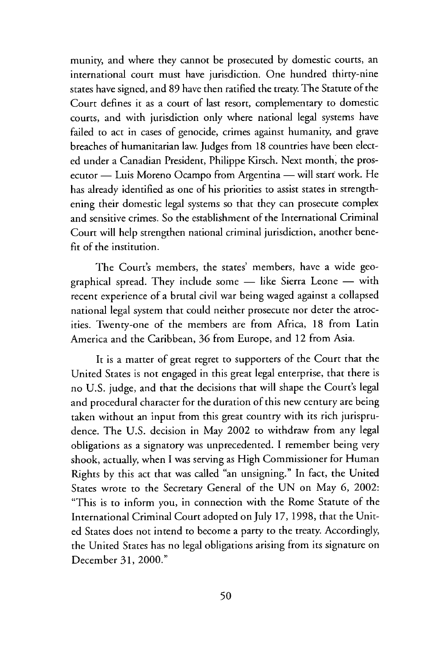munity, and where they cannot be prosecuted by domestic courts, an international court must have jurisdiction. One hundred thirty-nine states have signed, and 89 have then ratified the treaty. The Statute of the Court defines it as a court of last resort, complementary to domestic courts, and with jurisdiction only where national legal systems have failed to act in cases of genocide, crimes against humanity, and grave breaches of humanitarian law. Judges from 18 countries have been elected under a Canadian President, Philippe Kirsch. Next month, the prosecutor - Luis Moreno Ocampo from Argentina - will start work. He has already identified as one of his priorities to assist states in strengthening their domestic legal systems so that they can prosecute complex and sensitive crimes. So the establishment of the International Criminal Court will help strengthen national criminal jurisdiction, another benefit of the institution.

The Court's members, the states' members, have a wide geographical spread. They include some - like Sierra Leone - with recent experience of a brutal civil war being waged against a collapsed national legal system that could neither prosecute nor deter the atrocities. Twenty-one of the members are from Africa, 18 from Latin America and the Caribbean, 36 from Europe, and 12 from Asia.

It is a matter of great regret to supporters of the Court that the United States is not engaged in this great legal enterprise, that there is no U.S. judge, and that the decisions that will shape the Court's legal and procedural character for the duration of this new century are being taken without an input from this great country with its rich jurisprudence. The U.S. decision in May 2002 to withdraw from any legal obligations as a signatory was unprecedented. I remember being very shook, actually, when I was serving as High Commissioner for Human Rights by this act that was called "an unsigning." In fact, the United States wrote to the Secretary General of the UN on May 6, 2002: "This is to inform you, in connection with the Rome Statute of the International Criminal Court adopted on July 17, 1998, that the United States does not intend to become a party to the treaty. Accordingly, the United States has no legal obligations arising from its signature on December 31, 2000."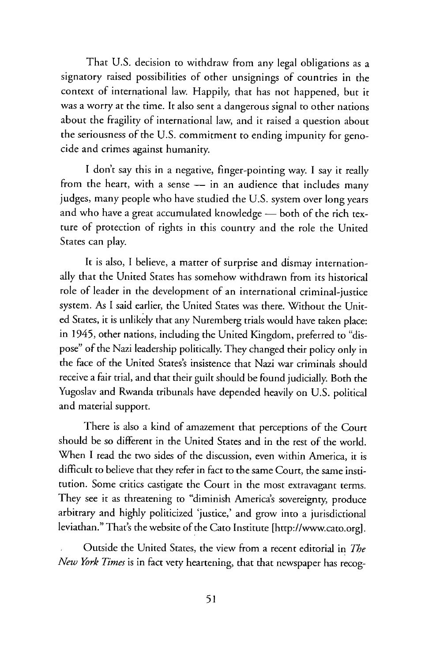That U.S. decision to withdraw from any legal obligations as a signatory raised possibilities of other unsignings of countries in the context of international law. Happily, that has not happened, but it was a worry at the time. It also sent a dangerous signal to other nations about the fragility of international law, and it raised a question about the seriousness of the U.S. commitment to ending impunity for genocide and crimes against humanity.

I don't say this in a negative, finger-pointing way. I say it really from the heart, with a sense  $-$  in an audience that includes many judges, many people who have studied the U.S. system over long years and who have a great accumulated knowledge  $-$  both of the rich texture of protection of rights in this country and the role the United States can play.

It is also, I believe, a matter of surprise and dismay internationally that the United States has somehow withdrawn from its historical role of leader in the development of an international criminal-justice system. As I said earlier, the United States was there. Without the United States, it is unlikely that any Nuremberg trials would have taken place: in 1945, other nations, including the United Kingdom, preferred to "dispose" of the Nazi leadership politically. They changed their policy only in the face of the United States's insistence that Nazi war criminals should receive a fair trial, and that their guilt should be found judicially. Both the Yugoslav and Rwanda tribunals have depended heavily on U.S. political and material support.

There is also a kind of amazement that perceptions of the Court should be so different in the United States and in the rest of the world. When I read the two sides of the discussion, even within America, it is difficult to believe that they refer in fact to the same Court, the same institution. Some critics castigate the Court in the most extravagant terms. They see it as threatening to "diminish America's sovereignty, produce arbitrary and highly politicized 'justice,' and grow into a jurisdictional leviathan." That's the website of the Cato Institute [http://www.cato.org].

Outside the United States, the view from a recent editorial in *The New York Times* is in fact very heartening, that that newspaper has recog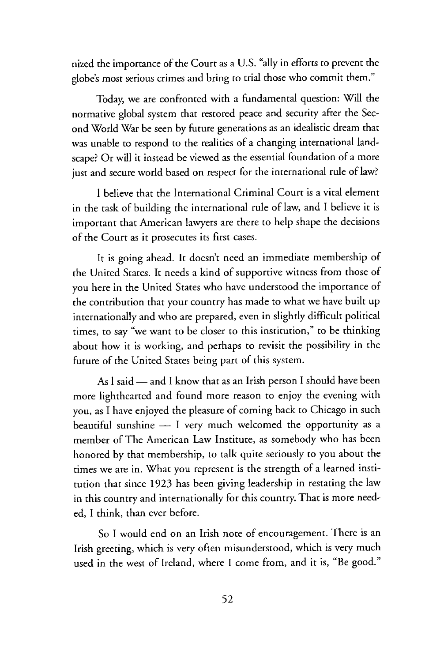nized the importance of the Court as a U.S. "ally in efforts to prevent the globe's most serious crimes and bring to trial those who commit them."

Today, we are confronted with a fundamental question: Will the normative global system that restored peace and security after the Second World War be seen by future generations as an idealistic dream that was unable to respond to the realities of a changing international landscape? Or will it instead be viewed as the essential foundation of a more just and secure world based on respect for the international rule of law?

I believe that the International Criminal Court is a vital element in the task of building the international rule of law, and I believe it is important that American lawyers are there to help shape the decisions of the Court as it prosecutes its first cases.

It is going ahead. It doesn't need an immediate membership of the United States. It needs a kind of supportive witness from those of you here in the United States who have understood the importance of the contribution that your country has made to what we have built up internationally and who are prepared, even in slightly difficult political times, to say "we want to be closer to this institution," to be thinking about how it is working, and perhaps to revisit the possibility in the future of the United States being part of this system.

As l said - and I know that as an Irish person I should have been more lighthearted and found more reason to enjoy the evening with you, as I have enjoyed the pleasure of coming back to Chicago in such beautiful sunshine  $-$  I very much welcomed the opportunity as a member of The American Law Institute, as somebody who has been honored by that membership, to talk quite seriously to you about the times we are in. What you represent is the strength of a learned institution that since 1923 has been giving leadership in restating the law in this country and internationally for this country. That is more needed, I think, than ever before.

So I would end on an Irish note of encouragement. There is an Irish greeting, which is very often misunderstood, which is very much used in the west of Ireland, where I come from, and it is, "Be good."